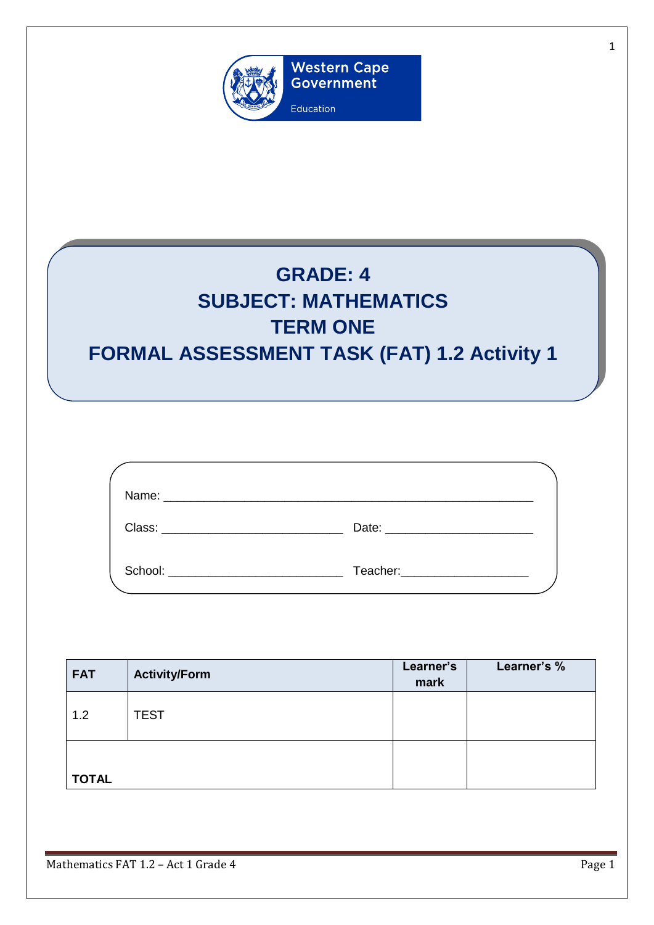

## **GRADE: 4 SUBJECT: MATHEMATICS TERM ONE FORMAL ASSESSMENT TASK (FAT) 1.2 Activity 1**

| School: | Teacher:______________________ |  |
|---------|--------------------------------|--|

| <b>FAT</b>   | <b>Activity/Form</b> | Learner's<br>mark | Learner's % |
|--------------|----------------------|-------------------|-------------|
| 1.2          | <b>TEST</b>          |                   |             |
| <b>TOTAL</b> |                      |                   |             |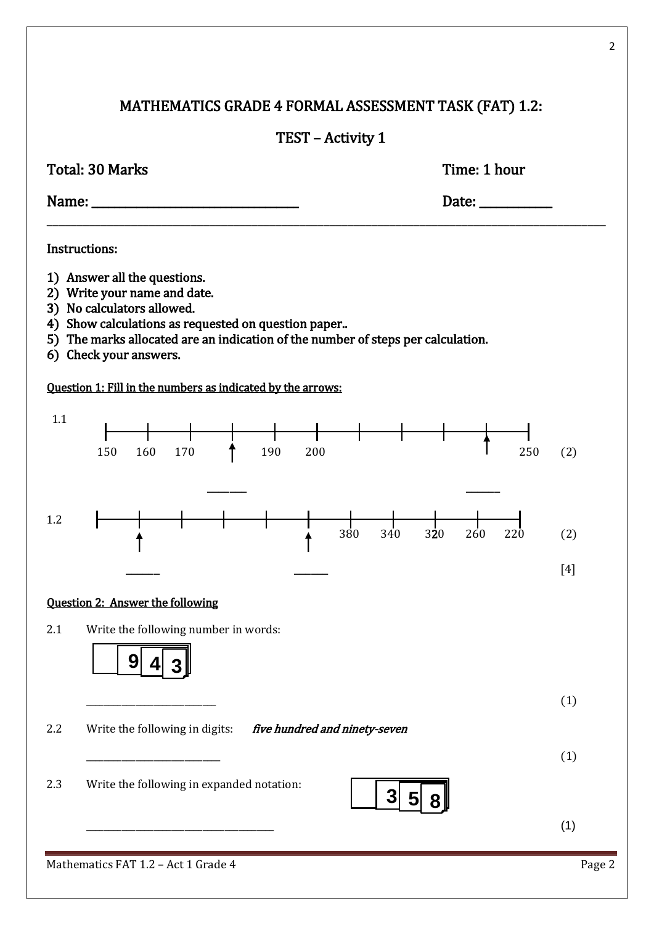## MATHEMATICS GRADE 4 FORMAL ASSESSMENT TASK (FAT) 1.2:

## TEST – Activity 1

| Time: 1 hour<br>Total: 30 Marks                                                                                                                                                                                                                                 |        |
|-----------------------------------------------------------------------------------------------------------------------------------------------------------------------------------------------------------------------------------------------------------------|--------|
| Date: $\frac{1}{\sqrt{1-\frac{1}{2}}\cdot\frac{1}{\sqrt{1-\frac{1}{2}}}}$                                                                                                                                                                                       |        |
| Instructions:                                                                                                                                                                                                                                                   |        |
| 1) Answer all the questions.<br>2) Write your name and date.<br>3) No calculators allowed.<br>4) Show calculations as requested on question paper<br>5) The marks allocated are an indication of the number of steps per calculation.<br>6) Check your answers. |        |
| Question 1: Fill in the numbers as indicated by the arrows:                                                                                                                                                                                                     |        |
| 1.1<br>190<br>160<br>170<br>200<br>150<br>250                                                                                                                                                                                                                   | (2)    |
| 1.2<br>380<br>260<br>340<br>320<br>220                                                                                                                                                                                                                          | (2)    |
|                                                                                                                                                                                                                                                                 | $[4]$  |
| <b>Question 2: Answer the following</b>                                                                                                                                                                                                                         |        |
| 2.1<br>Write the following number in words:<br>9                                                                                                                                                                                                                |        |
|                                                                                                                                                                                                                                                                 | (1)    |
| 2.2<br>Write the following in digits:<br>five hundred and ninety-seven                                                                                                                                                                                          |        |
|                                                                                                                                                                                                                                                                 | (1)    |
| Write the following in expanded notation:<br>2.3<br>3<br>5                                                                                                                                                                                                      |        |
|                                                                                                                                                                                                                                                                 | (1)    |
| Mathematics FAT 1.2 - Act 1 Grade 4                                                                                                                                                                                                                             | Page 2 |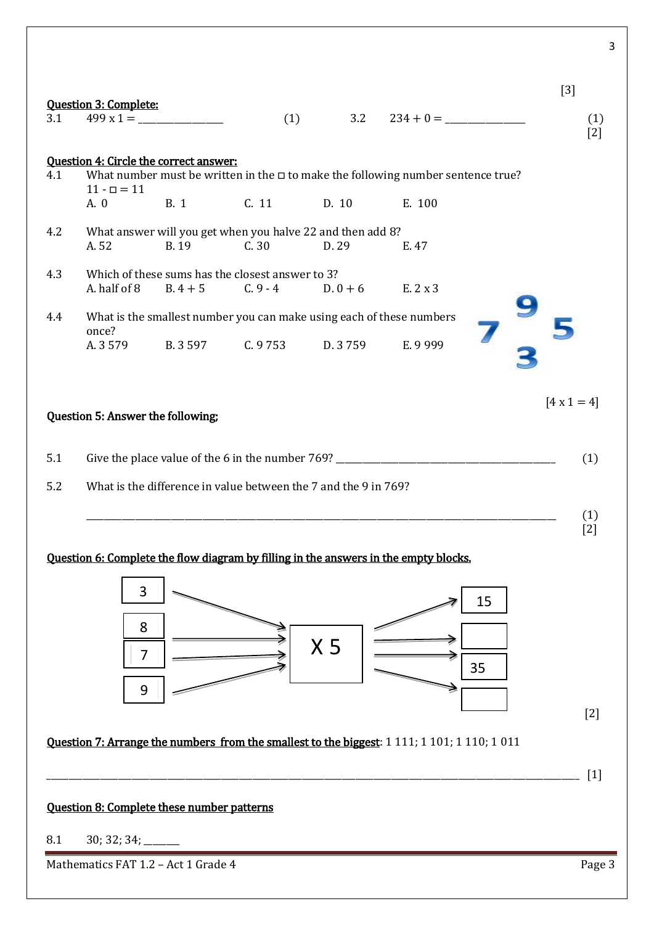|     | <b>Question 3: Complete:</b>      |                                                                           |                      |                |                                                                                              |          | $[3]$                    |
|-----|-----------------------------------|---------------------------------------------------------------------------|----------------------|----------------|----------------------------------------------------------------------------------------------|----------|--------------------------|
| 3.1 |                                   |                                                                           | (1)                  |                | $3.2 \qquad 234 + 0 =$                                                                       |          | (1)<br>$[2]$             |
| 4.1 | $11 - \square = 11$               | <b>Question 4: Circle the correct answer:</b>                             |                      |                | What number must be written in the $\Box$ to make the following number sentence true?        |          |                          |
|     | A. 0                              |                                                                           | B. 1 C. 11 D. 10     |                | E. 100                                                                                       |          |                          |
| 4.2 | A. 52                             | What answer will you get when you halve 22 and then add 8?<br><b>B.19</b> | C.30                 | D. 29          | E. 47                                                                                        |          |                          |
| 4.3 | A. half of 8                      | Which of these sums has the closest answer to 3?<br>$B.4 + 5$             | $C.9 - 4$ D. $0 + 6$ |                | E. 2 x 3                                                                                     |          |                          |
| 4.4 |                                   | What is the smallest number you can make using each of these numbers      |                      |                |                                                                                              |          |                          |
|     | once?<br>A. 3 579                 | B. 3 597 C. 9 753 D. 3 759                                                |                      |                | E. 9 999                                                                                     |          |                          |
|     | Question 5: Answer the following; |                                                                           |                      |                |                                                                                              |          | $[4 \times 1 = 4]$       |
| 5.1 |                                   |                                                                           |                      |                | Give the place value of the 6 in the number 769? ________________________________            |          | (1)                      |
| 5.2 |                                   | What is the difference in value between the 7 and the 9 in 769?           |                      |                |                                                                                              |          |                          |
|     |                                   |                                                                           |                      |                |                                                                                              |          | (1)<br>$\lceil 2 \rceil$ |
|     | 3<br>8<br>$\overline{7}$<br>9     |                                                                           |                      | X <sub>5</sub> | <u>Ouestion 6: Complete the flow diagram by filling in the answers in the empty blocks.</u>  | 15<br>35 |                          |
|     |                                   |                                                                           |                      |                | Question 7: Arrange the numbers from the smallest to the biggest: 1 111; 1 101; 1 110; 1 011 |          | $[2]$                    |
|     |                                   |                                                                           |                      |                |                                                                                              |          | $[1]$                    |
|     |                                   | <b>Question 8: Complete these number patterns</b>                         |                      |                |                                                                                              |          |                          |

Mathematics FAT 1.2 – Act 1 Grade 4 Page 3

3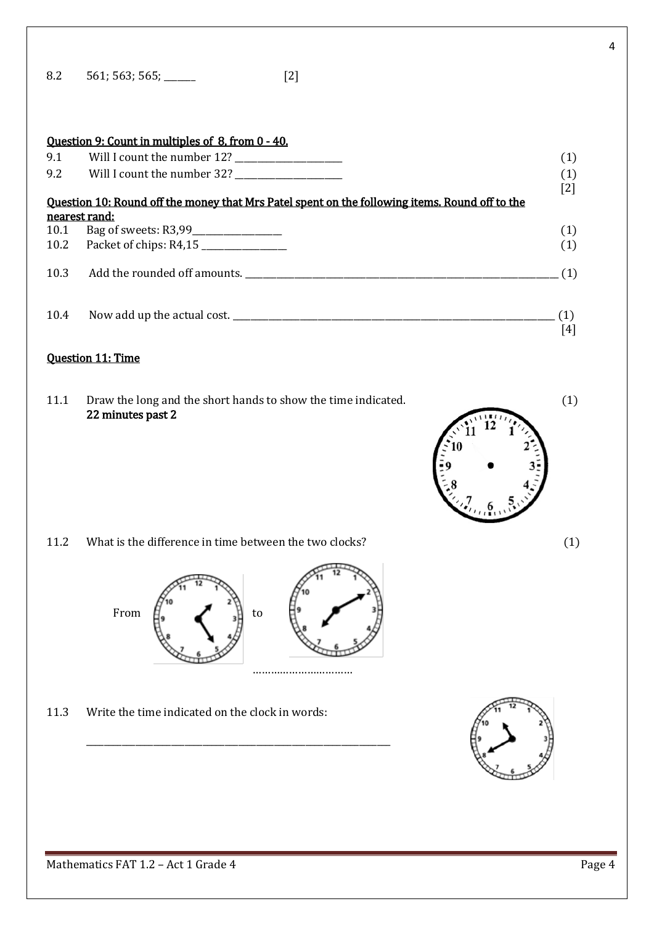| 8.2 | 561; 563; 565; _ | $[2]$ |
|-----|------------------|-------|
|-----|------------------|-------|

|      | Question 9: Count in multiples of 8, from 0 - 40.                                                      |                   |
|------|--------------------------------------------------------------------------------------------------------|-------------------|
| 9.1  |                                                                                                        | $\left( 1\right)$ |
|      |                                                                                                        | (1)               |
|      | <u>Ouestion 10: Round off the money that Mrs Patel spent on the following items. Round off to the </u> | [2]               |
|      | nearest rand:                                                                                          |                   |
|      | 10.1 Bag of sweets: R3,99                                                                              |                   |
|      | 10.2 Packet of chips: R4,15                                                                            | $(1)$<br>$(1)$    |
|      |                                                                                                        | (1)               |
| 10.4 |                                                                                                        |                   |
|      |                                                                                                        | [4]               |

## Question 11: Time

11.1 Draw the long and the short hands to show the time indicated. (1) 22 minutes past 2



$$
f_{\rm{max}}
$$

11.2 What is the difference in time between the two clocks? (1)



\_\_\_\_\_\_\_\_\_\_\_\_\_\_\_\_\_\_\_\_\_\_\_\_\_\_\_\_\_\_\_\_\_\_\_\_\_\_\_\_\_\_\_\_\_\_\_\_\_\_\_\_\_\_\_\_\_\_\_\_\_\_\_\_\_\_\_\_

11.3 Write the time indicated on the clock in words:



4